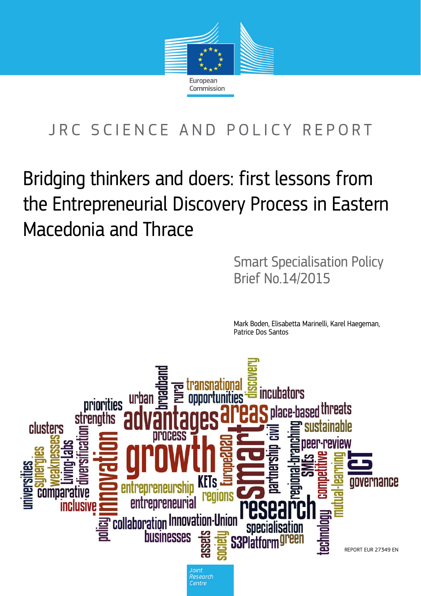

# JRC SCIENCE AND POLICY REPORT

# Bridging thinkers and doers: first lessons from the Entrepreneurial Discovery Process in Eastern Macedonia and Thrace

Smart Specialisation Policy Brief No.14/2015

Mark Boden, Elisabetta Marinelli, Karel Haegeman, Patrice Dos Santos

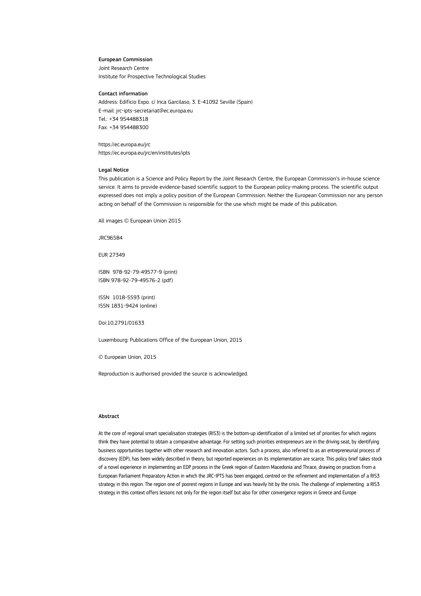#### European Commission

Joint Research Centre Institute for Prospective Technological Studies

#### Contact information

Address: Edificio Expo. c/ Inca Garcilaso, 3. E-41092 Seville (Spain) E-mail: jrc-ipts-secretariat@ec.europa.eu Tel.: +34 954488318 Fax: +34 954488300

https://ec.europa.eu/jrc https://ec.europa.eu/jrc/en/institutes/ipts

#### Legal Notice

This publication is a Science and Policy Report by the Joint Research Centre, the European Commission's in-house science service. It aims to provide evidence-based scientific support to the European policy-making process. The scientific output expressed does not imply a policy position of the European Commission. Neither the European Commission nor any person acting on behalf of the Commission is responsible for the use which might be made of this publication.

All images © European Union 2015

JRC96584

EUR 27349

ISBN 978-92-79-49577-9 (print) ISBN 978-92-79-49576-2 (pdf)

ISSN 1018-5593 (print) ISSN 1831-9424 (online)

Doi:10.2791/01633

Luxembourg: Publications Office of the European Union, 2015

© European Union, 2015

Reproduction is authorised provided the source is acknowledged.

#### Abstract

At the core of regional smart specialisation strategies (RIS3) is the bottom-up identification of a limited set of priorities for which regions think they have potential to obtain a comparative advantage. For setting such priorities entrepreneurs are in the driving seat, by identifying business opportunities together with other research and innovation actors. Such a process, also referred to as an entrepreneurial process of discovery (EDP), has been widely described in theory, but reported experiences on its implementation are scarce. This policy brief takes stock of a novel experience in implementing an EDP process in the Greek region of Eastern Macedonia and Thrace, drawing on practices from a European Parliament Preparatory Action in which the JRC-IPTS has been engaged, centred on the refinement and implementation of a RIS3 strategy in this region. The region one of poorest regions in Europe and was heavily hit by the crisis. The challenge of implementing a RIS3 strategy in this context offers lessons not only for the region itself but also for other convergence regions in Greece and Europe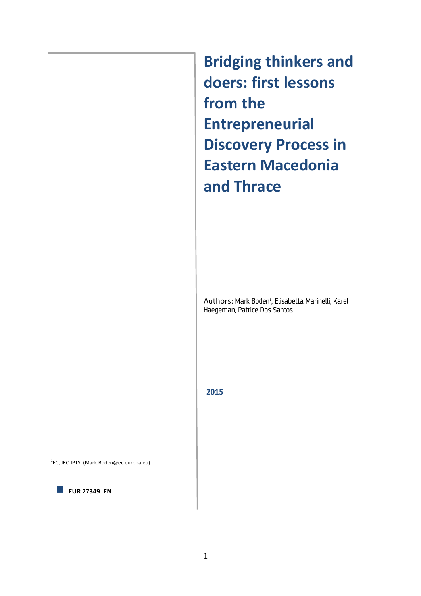**Bridging thinkers and doers: first lessons from the Entrepreneurial Discovery Process in Eastern Macedonia and Thrace**

Authors: Mark Boden<sup>1</sup>, Elisabetta Marinelli, Karel Haegeman, Patrice Dos Santos

**2015** 

1 EC, JRC-IPTS, (Mark.Boden@ec.europa.eu)

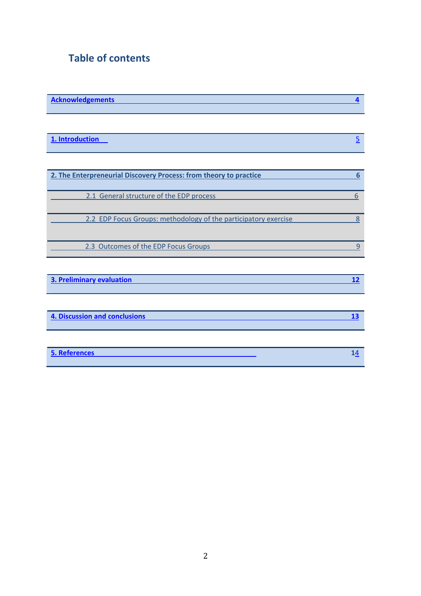# **Table of contents**

| <b>Acknowledgements</b> |  |
|-------------------------|--|
|                         |  |

| 1. Introduction |  |
|-----------------|--|
|                 |  |

| 2. The Enterpreneurial Discovery Process: from theory to practice |  |
|-------------------------------------------------------------------|--|
| 2.1 General structure of the EDP process                          |  |
| 2.2 EDP Focus Groups: methodology of the participatory exercise   |  |
| 2.3 Outcomes of the EDP Focus Groups                              |  |

| 3. Preliminary evaluation |  |
|---------------------------|--|
|                           |  |

| 4. Discussion and conclusions |  |
|-------------------------------|--|
|                               |  |

| 5. References |  |
|---------------|--|
|               |  |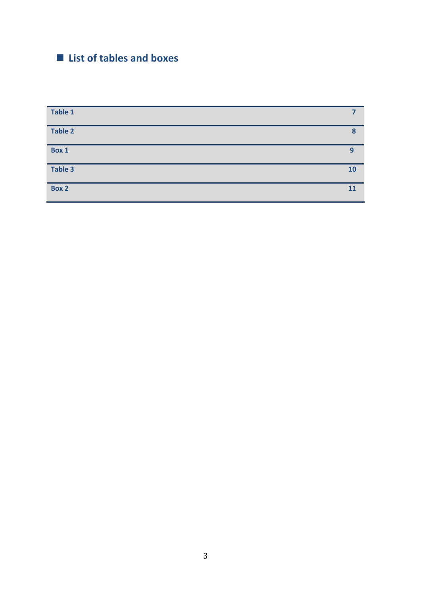# **List of tables and boxes**

| Table 1        |    |
|----------------|----|
| <b>Table 2</b> | 8  |
| Box 1          | 9  |
| Table 3        | 10 |
| Box 2          | 11 |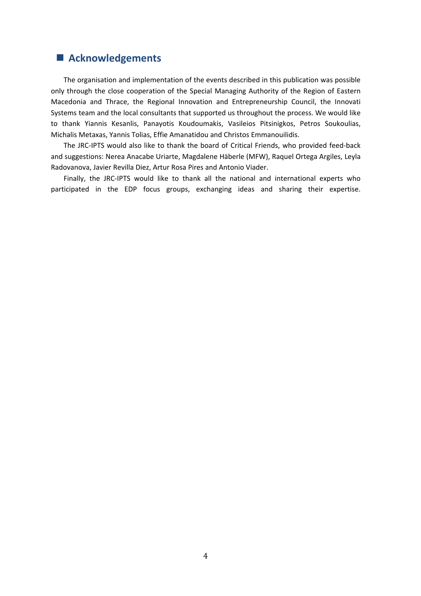## **Acknowledgements**

The organisation and implementation of the events described in this publication was possible only through the close cooperation of the Special Managing Authority of the Region of Eastern Macedonia and Thrace, the Regional Innovation and Entrepreneurship Council, the Innovati Systems team and the local consultants that supported us throughout the process. We would like to thank Yiannis Kesanlis, Panayotis Koudoumakis, Vasileios Pitsinigkos, Petros Soukoulias, Michalis Metaxas, Yannis Tolias, Effie Amanatidou and Christos Emmanouilidis.

The JRC-IPTS would also like to thank the board of Critical Friends, who provided feed-back and suggestions: Nerea Anacabe Uriarte, Magdalene Häberle (MFW), Raquel Ortega Argiles, Leyla Radovanova, Javier Revilla Diez, Artur Rosa Pires and Antonio Viader.

Finally, the JRC-IPTS would like to thank all the national and international experts who participated in the EDP focus groups, exchanging ideas and sharing their expertise.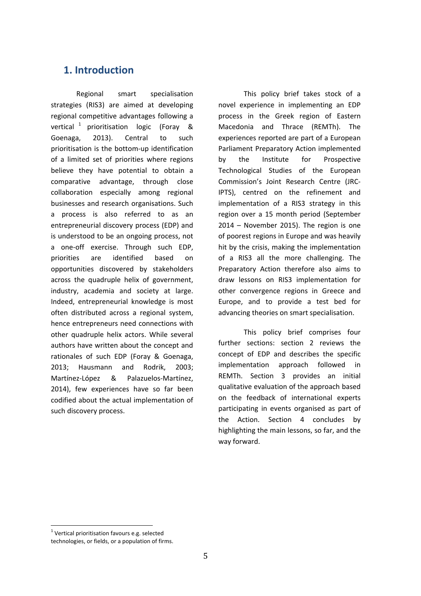# <span id="page-6-0"></span>**1. Introduction**

Regional smart specialisation strategies (RIS3) are aimed at developing regional competitive advantages following a vertical  $1$  prioritisation logic (Foray & Goenaga, 2013). Central to such prioritisation is the bottom-up identification of a limited set of priorities where regions believe they have potential to obtain a comparative advantage, through close collaboration especially among regional businesses and research organisations. Such a process is also referred to as an entrepreneurial discovery process (EDP) and is understood to be an ongoing process, not a one-off exercise. Through such EDP, priorities are identified based on opportunities discovered by stakeholders across the quadruple helix of government, industry, academia and society at large. Indeed, entrepreneurial knowledge is most often distributed across a regional system, hence entrepreneurs need connections with other quadruple helix actors. While several authors have written about the concept and rationales of such EDP (Foray & Goenaga, 2013; Hausmann and Rodrik, 2003; Martínez-López & Palazuelos-Martínez, 2014), few experiences have so far been codified about the actual implementation of such discovery process.

This policy brief takes stock of a novel experience in implementing an EDP process in the Greek region of Eastern Macedonia and Thrace (REMTh). The experiences reported are part of a European Parliament Preparatory Action implemented by the Institute for Prospective Technological Studies of the European Commission's Joint Research Centre (JRC-IPTS), centred on the refinement and implementation of a RIS3 strategy in this region over a 15 month period (September 2014 – November 2015). The region is one of poorest regions in Europe and was heavily hit by the crisis, making the implementation of a RIS3 all the more challenging. The Preparatory Action therefore also aims to draw lessons on RIS3 implementation for other convergence regions in Greece and Europe, and to provide a test bed for advancing theories on smart specialisation.

This policy brief comprises four further sections: section 2 reviews the concept of EDP and describes the specific implementation approach followed in REMTh. Section 3 provides an initial qualitative evaluation of the approach based on the feedback of international experts participating in events organised as part of the Action. Section 4 concludes by highlighting the main lessons, so far, and the way forward.

<u>.</u>

 $1$  Vertical prioritisation favours e.g. selected technologies, or fields, or a population of firms.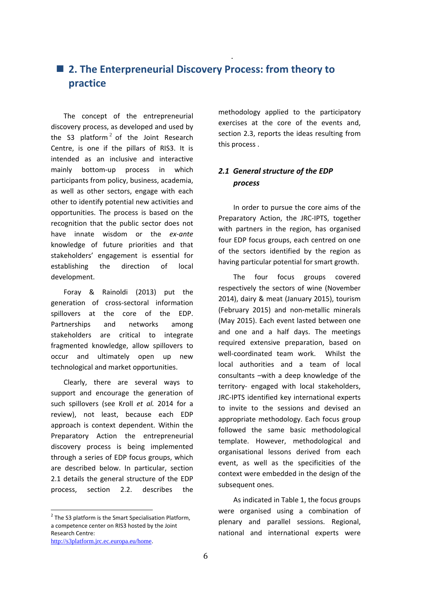# ■ 2. The Enterpreneurial Discovery Process: from theory to **practice**

<span id="page-7-1"></span>The concept of the entrepreneurial discovery process, as developed and used by the S3 platform<sup>2</sup> of the Joint Research Centre, is one if the pillars of RIS3. It is intended as an inclusive and interactive mainly bottom-up process in which participants from policy, business, academia, as well as other sectors, engage with each other to identify potential new activities and opportunities. The process is based on the recognition that the public sector does not have innate wisdom or the *ex-ante* knowledge of future priorities and that stakeholders' engagement is essential for establishing the direction of local development.

<span id="page-7-0"></span>**.** The contract of the contract of the contract of the contract of the contract of

Foray & Rainoldi (2013) put the generation of cross-sectoral information spillovers at the core of the EDP. Partnerships and networks among stakeholders are critical to integrate fragmented knowledge, allow spillovers to occur and ultimately open up new technological and market opportunities.

Clearly, there are several ways to support and encourage the generation of such spillovers (see Kroll *et al.* 2014 for a review), not least, because each EDP approach is context dependent. Within the Preparatory Action the entrepreneurial discovery process is being implemented through a series of EDP focus groups, which are described below. In particular, section 2.1 details the general structure of the EDP process, section 2.2. describes the

<u>.</u>

methodology applied to the participatory exercises at the core of the events and, section 2.3, reports the ideas resulting from this process .

## *2.1 General structure of the EDP process*

In order to pursue the core aims of the Preparatory Action, the JRC-IPTS, together with partners in the region, has organised four EDP focus groups, each centred on one of the sectors identified by the region as having particular potential for smart growth.

The four focus groups covered respectively the sectors of wine (November 2014), dairy & meat (January 2015), tourism (February 2015) and non-metallic minerals (May 2015). Each event lasted between one and one and a half days. The meetings required extensive preparation, based on well-coordinated team work. Whilst the local authorities and a team of local consultants –with a deep knowledge of the territory- engaged with local stakeholders, JRC-IPTS identified key international experts to invite to the sessions and devised an appropriate methodology. Each focus group followed the same basic methodological template. However, methodological and organisational lessons derived from each event, as well as the specificities of the context were embedded in the design of the subsequent ones.

As indicated in Table 1, the focus groups were organised using a combination of plenary and parallel sessions. Regional, national and international experts were

 $2$  The S3 platform is the Smart Specialisation Platform, a competence center on RIS3 hosted by the Joint Research Centre:

<http://s3platform.jrc.ec.europa.eu/home>.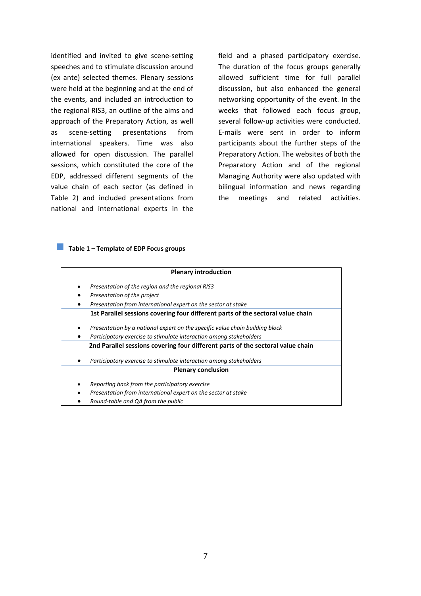identified and invited to give scene-setting speeches and to stimulate discussion around (ex ante) selected themes. Plenary sessions were held at the beginning and at the end of the events, and included an introduction to the regional RIS3, an outline of the aims and approach of the Preparatory Action, as well as scene-setting presentations from international speakers. Time was also allowed for open discussion. The parallel sessions, which constituted the core of the EDP, addressed different segments of the value chain of each sector (as defined in Table 2) and included presentations from national and international experts in the

field and a phased participatory exercise. The duration of the focus groups generally allowed sufficient time for full parallel discussion, but also enhanced the general networking opportunity of the event. In the weeks that followed each focus group, several follow-up activities were conducted. E-mails were sent in order to inform participants about the further steps of the Preparatory Action. The websites of both the Preparatory Action and of the regional Managing Authority were also updated with bilingual information and news regarding the meetings and related activities.

#### <span id="page-8-0"></span>**Table 1 – Template of EDP Focus groups**

|        | <b>Plenary introduction</b>                                                                                     |
|--------|-----------------------------------------------------------------------------------------------------------------|
| ٠      | Presentation of the region and the regional RIS3                                                                |
|        | Presentation of the project                                                                                     |
| ٠      | Presentation from international expert on the sector at stake                                                   |
|        | 1st Parallel sessions covering four different parts of the sectoral value chain                                 |
| ٠      | Presentation by a national expert on the specific value chain building block                                    |
| ٠      | Participatory exercise to stimulate interaction among stakeholders                                              |
|        | 2nd Parallel sessions covering four different parts of the sectoral value chain                                 |
| ٠      | Participatory exercise to stimulate interaction among stakeholders                                              |
|        | <b>Plenary conclusion</b>                                                                                       |
| ٠<br>٠ | Reporting back from the participatory exercise<br>Presentation from international expert on the sector at stake |
|        | Round-table and QA from the public                                                                              |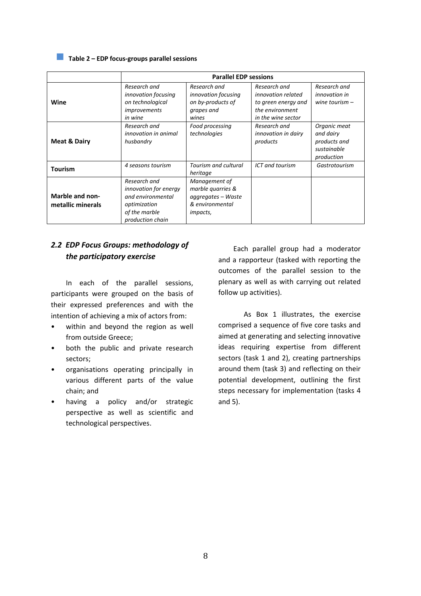### **Table 2 – EDP focus-groups parallel sessions**

<span id="page-9-0"></span>

|                                             | <b>Parallel EDP sessions</b>                                                                                           |                                                                                                 |                                                                                                    |                                                                        |
|---------------------------------------------|------------------------------------------------------------------------------------------------------------------------|-------------------------------------------------------------------------------------------------|----------------------------------------------------------------------------------------------------|------------------------------------------------------------------------|
| Wine                                        | Research and<br>innovation focusing<br>on technological<br>improvements<br>in wine                                     | Research and<br>innovation focusing<br>on by-products of<br>grapes and<br>wines                 | Research and<br>innovation related<br>to green energy and<br>the environment<br>in the wine sector | Research and<br><i>innovation in</i><br>wine tourism $-$               |
| <b>Meat &amp; Dairy</b>                     | Research and<br>innovation in animal<br>husbandry                                                                      | Food processing<br>technologies                                                                 | Research and<br>innovation in dairy<br>products                                                    | Organic meat<br>and dairy<br>products and<br>sustainable<br>production |
| <b>Tourism</b>                              | 4 seasons tourism                                                                                                      | Tourism and cultural<br>heritage                                                                | ICT and tourism                                                                                    | Gastrotourism                                                          |
| <b>Marble and non-</b><br>metallic minerals | Research and<br><i>innovation for energy</i><br>and environmental<br>optimization<br>of the marble<br>production chain | Management of<br>marble quarries &<br>aggregates – Waste<br>& environmental<br><i>impacts</i> , |                                                                                                    |                                                                        |

## *2.2 EDP Focus Groups: methodology of the participatory exercise*

In each of the parallel sessions, participants were grouped on the basis of their expressed preferences and with the intention of achieving a mix of actors from:

- within and beyond the region as well from outside Greece;
- both the public and private research sectors;
- organisations operating principally in various different parts of the value chain; and
- having a policy and/or strategic perspective as well as scientific and technological perspectives.

Each parallel group had a moderator and a rapporteur (tasked with reporting the outcomes of the parallel session to the plenary as well as with carrying out related follow up activities).

As Box 1 illustrates, the exercise comprised a sequence of five core tasks and aimed at generating and selecting innovative ideas requiring expertise from different sectors (task 1 and 2), creating partnerships around them (task 3) and reflecting on their potential development, outlining the first steps necessary for implementation (tasks 4 and 5).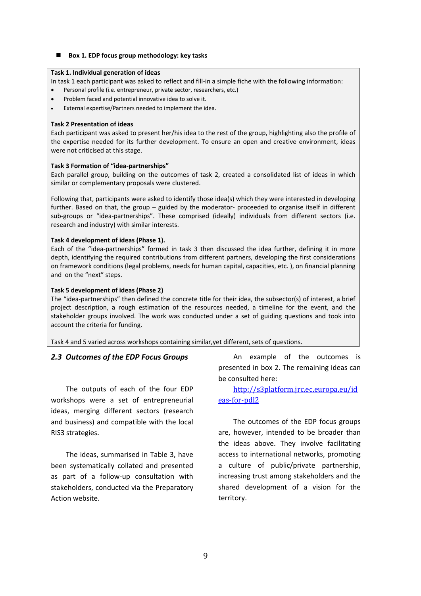#### <span id="page-10-1"></span>■ Box 1. EDP focus group methodology: key tasks

#### **Task 1. Individual generation of ideas**

In task 1 each participant was asked to reflect and fill-in a simple fiche with the following information:

- Personal profile (i.e. entrepreneur, private sector, researchers, etc.)
- Problem faced and potential innovative idea to solve it.
- External expertise/Partners needed to implement the idea.

#### **Task 2 Presentation of ideas**

Each participant was asked to present her/his idea to the rest of the group, highlighting also the profile of the expertise needed for its further development. To ensure an open and creative environment, ideas were not criticised at this stage.

#### **Task 3 Formation of "idea-partnerships"**

Each parallel group, building on the outcomes of task 2, created a consolidated list of ideas in which similar or complementary proposals were clustered.

Following that, participants were asked to identify those idea(s) which they were interested in developing further. Based on that, the group – guided by the moderator- proceeded to organise itself in different sub-groups or "idea-partnerships". These comprised (ideally) individuals from different sectors (i.e. research and industry) with similar interests.

#### **Task 4 development of ideas (Phase 1).**

Each of the "idea-partnerships" formed in task 3 then discussed the idea further, defining it in more depth, identifying the required contributions from different partners, developing the first considerations on framework conditions (legal problems, needs for human capital, capacities, etc. ), on financial planning and on the "next" steps.

#### **Task 5 development of ideas (Phase 2)**

The "idea-partnerships" then defined the concrete title for their idea, the subsector(s) of interest, a brief project description, a rough estimation of the resources needed, a timeline for the event, and the stakeholder groups involved. The work was conducted under a set of guiding questions and took into account the criteria for funding.

<span id="page-10-0"></span>Task 4 and 5 varied across workshops containing similar,yet different, sets of questions.

#### *2.3 Outcomes of the EDP Focus Groups*

The outputs of each of the four EDP workshops were a set of entrepreneurial ideas, merging different sectors (research and business) and compatible with the local RIS3 strategies.

The ideas, summarised in Table 3, have been systematically collated and presented as part of a follow-up consultation with stakeholders, conducted via the Preparatory Action website.

An example of the outcomes is presented in box 2. The remaining ideas can be consulted here:

[http://s3platform.jrc.ec.europa.eu/id](http://s3platform.jrc.ec.europa.eu/ideas-for-pdl2) [eas-for-pdl2](http://s3platform.jrc.ec.europa.eu/ideas-for-pdl2)

The outcomes of the EDP focus groups are, however, intended to be broader than the ideas above. They involve facilitating access to international networks, promoting a culture of public/private partnership, increasing trust among stakeholders and the shared development of a vision for the territory.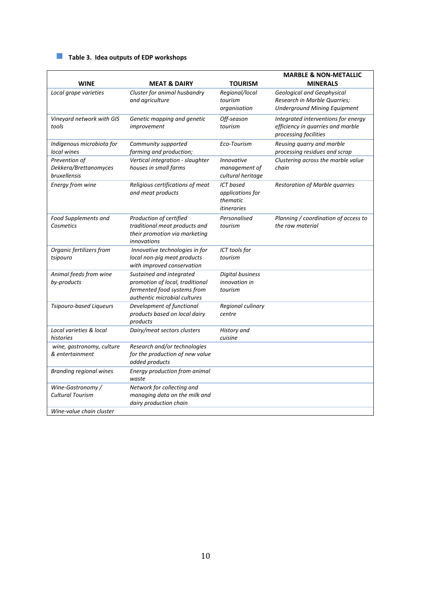# <span id="page-11-0"></span>**Table 3. Idea outputs of EDP workshops**

| <b>WINE</b>                                            | <b>MEAT &amp; DAIRY</b>                                                                                                    | <b>TOURISM</b>                                                         | <b>MARBLE &amp; NON-METALLIC</b><br><b>MINERALS</b>                                                      |
|--------------------------------------------------------|----------------------------------------------------------------------------------------------------------------------------|------------------------------------------------------------------------|----------------------------------------------------------------------------------------------------------|
| Local grape varieties                                  | Cluster for animal husbandry<br>and agriculture                                                                            | Regional/local<br>tourism<br>organisation                              | <b>Geological and Geophysical</b><br>Research in Marble Quarries;<br><b>Underground Mining Equipment</b> |
| Vineyard network with GIS<br>tools                     | Genetic mapping and genetic<br>improvement                                                                                 | Off-season<br>tourism                                                  | Integrated interventions for energy<br>efficiency in quarries and marble<br>processing facilities        |
| Indigenous microbiota for<br>local wines               | Community supported<br>farming and production;                                                                             | Eco-Tourism                                                            | Reusing quarry and marble<br>processing residues and scrap                                               |
| Prevention of<br>Dekkera/Brettanomyces<br>bruxellensis | Vertical integration - slaughter<br>houses in small farms                                                                  | <i>Innovative</i><br>management of<br>cultural heritage                | Clustering across the marble value<br>chain                                                              |
| Energy from wine                                       | Religious certifications of meat<br>and meat products                                                                      | <b>ICT</b> based<br>applications for<br>thematic<br><i>itineraries</i> | <b>Restoration of Marble quarries</b>                                                                    |
| <b>Food Supplements and</b><br>Cosmetics               | Production of certified<br>traditional meat products and<br>their promotion via marketing<br>innovations                   | Personalised<br>tourism                                                | Planning / coordination of access to<br>the raw material                                                 |
| Organic fertilizers from<br>tsipouro                   | Innovative technologies in for<br>local non-pig meat products<br>with improved conservation                                | ICT tools for<br>tourism                                               |                                                                                                          |
| Animal feeds from wine<br>by-products                  | Sustained and integrated<br>promotion of local, traditional<br>fermented food systems from<br>authentic microbial cultures | Digital business<br>innovation in<br>tourism                           |                                                                                                          |
| Tsipouro-based Liqueurs                                | Development of functional<br>products based on local dairy<br>products                                                     | Regional culinary<br>centre                                            |                                                                                                          |
| Local varieties & local<br>histories                   | Dairy/meat sectors clusters                                                                                                | History and<br>cuisine                                                 |                                                                                                          |
| wine, gastronomy, culture<br>& entertainment           | Research and/or technologies<br>for the production of new value<br>added products                                          |                                                                        |                                                                                                          |
| <b>Branding regional wines</b>                         | Energy production from animal<br>waste                                                                                     |                                                                        |                                                                                                          |
| Wine-Gastronomy /<br><b>Cultural Tourism</b>           | Network for collecting and<br>managing data on the milk and<br>dairy production chain                                      |                                                                        |                                                                                                          |
| Wine-value chain cluster                               |                                                                                                                            |                                                                        |                                                                                                          |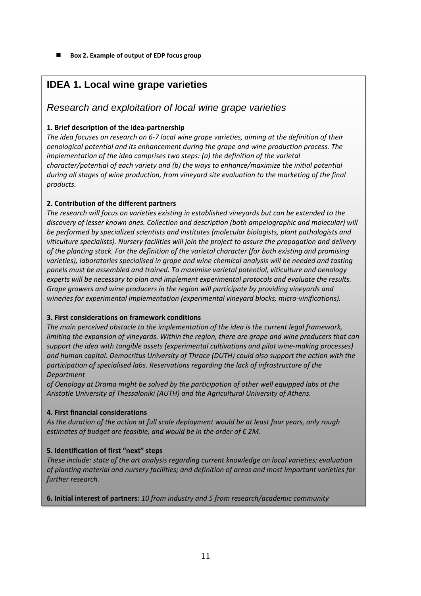<span id="page-12-0"></span> **Box 2. Example of output of EDP focus group** 

# **IDEA 1. Local wine grape varieties**

## *Research and exploitation of local wine grape varieties*

## **1. Brief description of the idea-partnership**

*The idea focuses on research on 6-7 local wine grape varieties, aiming at the definition of their oenological potential and its enhancement during the grape and wine production process. The implementation of the idea comprises two steps: (a) the definition of the varietal character/potential of each variety and (b) the ways to enhance/maximize the initial potential during all stages of wine production, from vineyard site evaluation to the marketing of the final products.* 

## **2. Contribution of the different partners**

*The research will focus on varieties existing in established vineyards but can be extended to the discovery of lesser known ones. Collection and description (both ampelographic and molecular) will be performed by specialized scientists and institutes (molecular biologists, plant pathologists and viticulture specialists). Nursery facilities will join the project to assure the propagation and delivery of the planting stock. For the definition of the varietal character (for both existing and promising varieties), laboratories specialised in grape and wine chemical analysis will be needed and tasting panels must be assembled and trained. To maximise varietal potential, viticulture and oenology experts will be necessary to plan and implement experimental protocols and evaluate the results. Grape growers and wine producers in the region will participate by providing vineyards and wineries for experimental implementation (experimental vineyard blocks, micro-vinifications).* 

## **3. First considerations on framework conditions**

*The main perceived obstacle to the implementation of the idea is the current legal framework, limiting the expansion of vineyards. Within the region, there are grape and wine producers that can support the idea with tangible assets (experimental cultivations and pilot wine-making processes) and human capital. Democritus University of Thrace (DUTH) could also support the action with the participation of specialised labs. Reservations regarding the lack of infrastructure of the Department* 

*of Oenology at Drama might be solved by the participation of other well equipped labs at the Aristotle University of Thessaloniki (AUTH) and the Agricultural University of Athens.* 

## **4. First financial considerations**

*As the duration of the action at full scale deployment would be at least four years, only rough estimates of budget are feasible, and would be in the order of € 2M.* 

## **5. Identification of first "next" steps**

*These include: state of the art analysis regarding current knowledge on local varieties; evaluation of planting material and nursery facilities; and definition of areas and most important varieties for further research.* 

## **6. Initial interest of partners**: *10 from industry and 5 from research/academic community*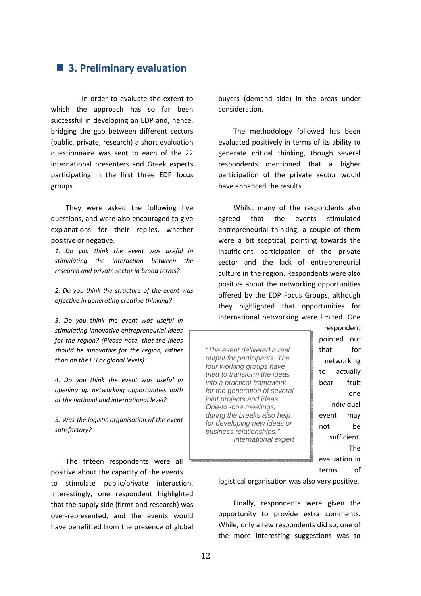## <span id="page-13-0"></span>■ 3. Preliminary evaluation

 In order to evaluate the extent to which the approach has so far been successful in developing an EDP and, hence, bridging the gap between different sectors (public, private, research) a short evaluation questionnaire was sent to each of the 22 international presenters and Greek experts participating in the first three EDP focus groups.

They were asked the following five questions, and were also encouraged to give explanations for their replies, whether positive or negative.

*1. Do you think the event was useful in stimulating the interaction between the research and private sector in broad terms?* 

*2. Do you think the structure of the event was effective in generating creative thinking?* 

*3. Do you think the event was useful in stimulating innovative entrepreneurial ideas for the region? (Please note, that the ideas should be innovative for the region, rather than on the EU or global levels).* 

*4. Do you think the event was useful in opening up networking opportunities both at the national and international level?* 

*5. Was the logistic organisation of the event satisfactory?* 

The fifteen respondents were all positive about the capacity of the events to stimulate public/private interaction. Interestingly, one respondent highlighted that the supply side (firms and research) was over-represented, and the events would have benefitted from the presence of global

buyers (demand side) in the areas under consideration.

The methodology followed has been evaluated positively in terms of its ability to generate critical thinking, though several respondents mentioned that a higher participation of the private sector would have enhanced the results.

Whilst many of the respondents also agreed that the events stimulated entrepreneurial thinking, a couple of them were a bit sceptical, pointing towards the insufficient participation of the private sector and the lack of entrepreneurial culture in the region. Respondents were also positive about the networking opportunities offered by the EDP Focus Groups, although they highlighted that opportunities for international networking were limited. One

*"The event delivered a real output for participants. The four working groups have tried to transform the ideas into a practical framework for the generation of several joint projects and ideas. One-to -one meetings, during the breaks also help for developing new ideas or business relationships." International expert*

respondent pointed out that for networking to actually bear fruit one individual event may not be sufficient. The evaluation in terms of

logistical organisation was also very positive.

Finally, respondents were given the opportunity to provide extra comments. While, only a few respondents did so, one of the more interesting suggestions was to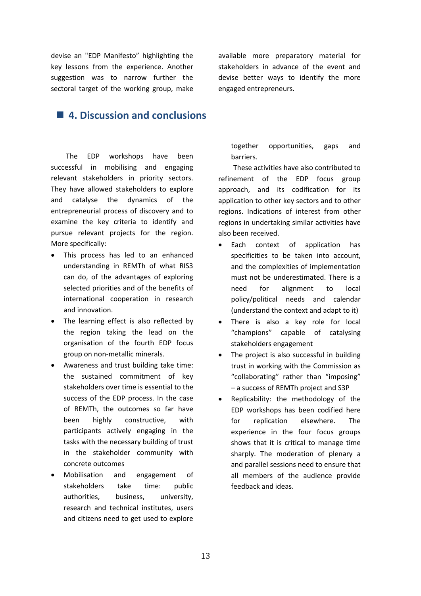devise an "EDP Manifesto" highlighting the key lessons from the experience. Another suggestion was to narrow further the sectoral target of the working group, make

# <span id="page-14-0"></span>**4. Discussion and conclusions**

The EDP workshops have been successful in mobilising and engaging relevant stakeholders in priority sectors. They have allowed stakeholders to explore and catalyse the dynamics of the entrepreneurial process of discovery and to examine the key criteria to identify and pursue relevant projects for the region. More specifically:

- This process has led to an enhanced understanding in REMTh of what RIS3 can do, of the advantages of exploring selected priorities and of the benefits of international cooperation in research and innovation.
- The learning effect is also reflected by the region taking the lead on the organisation of the fourth EDP focus group on non-metallic minerals.
- Awareness and trust building take time: the sustained commitment of key stakeholders over time is essential to the success of the EDP process. In the case of REMTh, the outcomes so far have been highly constructive, with participants actively engaging in the tasks with the necessary building of trust in the stakeholder community with concrete outcomes
- Mobilisation and engagement of stakeholders take time: public authorities, business, university, research and technical institutes, users and citizens need to get used to explore

available more preparatory material for stakeholders in advance of the event and devise better ways to identify the more engaged entrepreneurs.

together opportunities, gaps and barriers.

These activities have also contributed to refinement of the EDP focus group approach, and its codification for its application to other key sectors and to other regions. Indications of interest from other regions in undertaking similar activities have also been received.

- Each context of application has specificities to be taken into account, and the complexities of implementation must not be underestimated. There is a need for alignment to local policy/political needs and calendar (understand the context and adapt to it)
- There is also a key role for local "champions" capable of catalysing stakeholders engagement
- The project is also successful in building trust in working with the Commission as "collaborating" rather than "imposing" – a success of REMTh project and S3P
- Replicability: the methodology of the EDP workshops has been codified here for replication elsewhere. The experience in the four focus groups shows that it is critical to manage time sharply. The moderation of plenary a and parallel sessions need to ensure that all members of the audience provide feedback and ideas.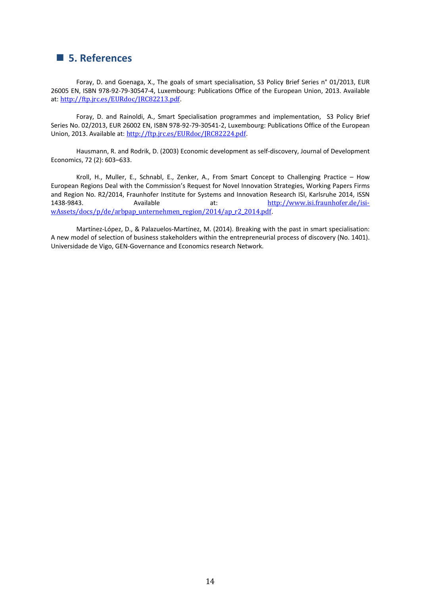## <span id="page-15-0"></span>**5. References**

Foray, D. and Goenaga, X., The goals of smart specialisation, S3 Policy Brief Series n° 01/2013, EUR 26005 EN, ISBN 978-92-79-30547-4, Luxembourg: Publications Office of the European Union, 2013. Available at: <http://ftp.jrc.es/EURdoc/JRC82213.pdf>.

Foray, D. and Rainoldi, A., Smart Specialisation programmes and implementation, S3 Policy Brief Series No. 02/2013, EUR 26002 EN, ISBN 978-92-79-30541-2, Luxembourg: Publications Office of the European Union, 2013. Available at: <http://ftp.jrc.es/EURdoc/JRC82224.pdf>.

Hausmann, R. and Rodrik, D. (2003) Economic development as self-discovery, Journal of Development Economics, 72 (2): 603–633.

Kroll, H., Muller, E., Schnabl, E., Zenker, A., From Smart Concept to Challenging Practice – How European Regions Deal with the Commission's Request for Novel Innovation Strategies, Working Papers Firms and Region No. R2/2014, Fraunhofer Institute for Systems and Innovation Research ISI, Karlsruhe 2014, ISSN 1438-9843. Available at: [http://www.isi.fraunhofer.de/isi](http://www.isi.fraunhofer.de/isi-wAssets/docs/p/de/arbpap_unternehmen_region/2014/ap_r2_2014.pdf)[wAssets/docs/p/de/arbpap\\_unternehmen\\_region/2014/ap\\_r2\\_2014.pdf](http://www.isi.fraunhofer.de/isi-wAssets/docs/p/de/arbpap_unternehmen_region/2014/ap_r2_2014.pdf).

Martínez-López, D., & Palazuelos-Martínez, M. (2014). Breaking with the past in smart specialisation: A new model of selection of business stakeholders within the entrepreneurial process of discovery (No. 1401). Universidade de Vigo, GEN-Governance and Economics research Network.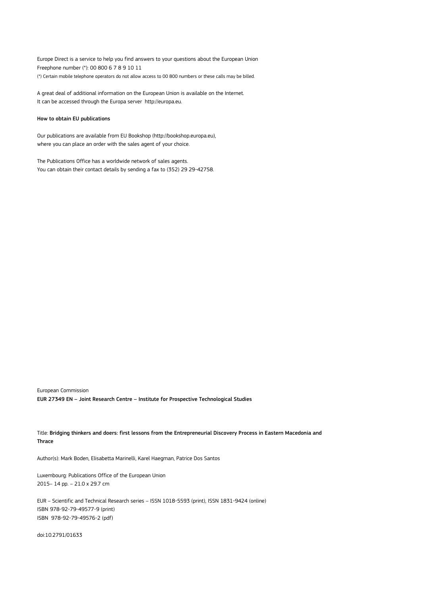Europe Direct is a service to help you find answers to your questions about the European Union Freephone number (\*): 00 800 6 7 8 9 10 11 (\*) Certain mobile telephone operators do not allow access to 00 800 numbers or these calls may be billed.

A great deal of additional information on the European Union is available on the Internet. It can be accessed through the Europa server http://europa.eu.

#### How to obtain EU publications

Our publications are available from EU Bookshop (http://bookshop.europa.eu), where you can place an order with the sales agent of your choice.

The Publications Office has a worldwide network of sales agents. You can obtain their contact details by sending a fax to (352) 29 29-42758.

European Commission EUR 27349 EN – Joint Research Centre – Institute for Prospective Technological Studies

Title: Bridging thinkers and doers: first lessons from the Entrepreneurial Discovery Process in Eastern Macedonia and Thrace

Author(s): Mark Boden, Elisabetta Marinelli, Karel Haegman, Patrice Dos Santos

Luxembourg: Publications Office of the European Union 2015– 14 pp. – 21.0 x 29.7 cm

EUR – Scientific and Technical Research series – ISSN 1018-5593 (print), ISSN 1831-9424 (online) ISBN 978-92-79-49577-9 (print) ISBN 978-92-79-49576-2 (pdf)

doi:10.2791/01633